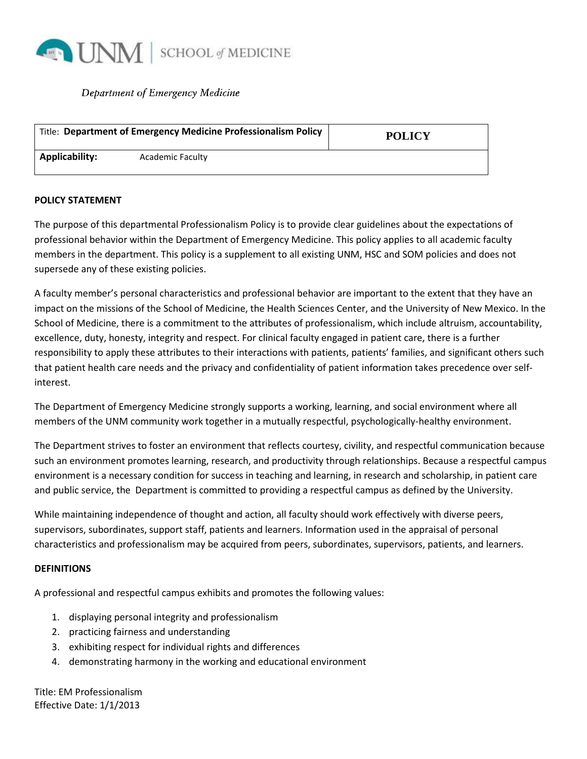

### Department of Emergency Medicine

| Title: Department of Emergency Medicine Professionalism Policy |                  | <b>POLICY</b> |  |
|----------------------------------------------------------------|------------------|---------------|--|
| Applicability:                                                 | Academic Faculty |               |  |

#### **POLICY STATEMENT**

The purpose of this departmental Professionalism Policy is to provide clear guidelines about the expectations of professional behavior within the Department of Emergency Medicine. This policy applies to all academic faculty members in the department. This policy is a supplement to all existing UNM, HSC and SOM policies and does not supersede any of these existing policies.

A faculty member's personal characteristics and professional behavior are important to the extent that they have an impact on the missions of the School of Medicine, the Health Sciences Center, and the University of New Mexico. In the School of Medicine, there is a commitment to the attributes of professionalism, which include altruism, accountability, excellence, duty, honesty, integrity and respect. For clinical faculty engaged in patient care, there is a further responsibility to apply these attributes to their interactions with patients, patients' families, and significant others such that patient health care needs and the privacy and confidentiality of patient information takes precedence over selfinterest.

The Department of Emergency Medicine strongly supports a working, learning, and social environment where all members of the UNM community work together in a mutually respectful, psychologically-healthy environment.

The Department strives to foster an environment that reflects courtesy, civility, and respectful communication because such an environment promotes learning, research, and productivity through relationships. Because a respectful campus environment is a necessary condition for success in teaching and learning, in research and scholarship, in patient care and public service, the Department is committed to providing a respectful campus as defined by the University.

While maintaining independence of thought and action, all faculty should work effectively with diverse peers, supervisors, subordinates, support staff, patients and learners. Information used in the appraisal of personal characteristics and professionalism may be acquired from peers, subordinates, supervisors, patients, and learners.

### **DEFINITIONS**

A professional and respectful campus exhibits and promotes the following values:

- 1. displaying personal integrity and professionalism
- 2. practicing fairness and understanding
- 3. exhibiting respect for individual rights and differences
- 4. demonstrating harmony in the working and educational environment

Title: EM Professionalism Effective Date: 1/1/2013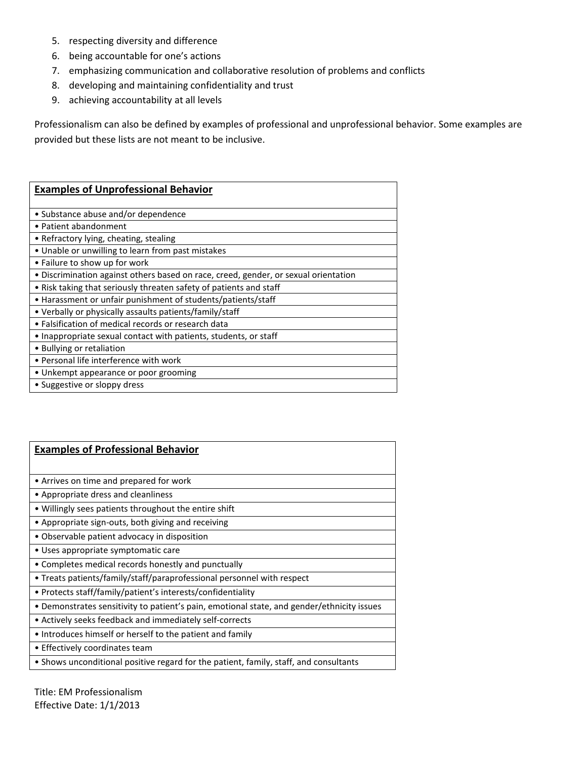- 5. respecting diversity and difference
- 6. being accountable for one's actions
- 7. emphasizing communication and collaborative resolution of problems and conflicts
- 8. developing and maintaining confidentiality and trust
- 9. achieving accountability at all levels

Professionalism can also be defined by examples of professional and unprofessional behavior. Some examples are provided but these lists are not meant to be inclusive.

| <b>Examples of Unprofessional Behavior</b>                                          |  |  |  |  |
|-------------------------------------------------------------------------------------|--|--|--|--|
|                                                                                     |  |  |  |  |
| • Substance abuse and/or dependence                                                 |  |  |  |  |
| • Patient abandonment                                                               |  |  |  |  |
| • Refractory lying, cheating, stealing                                              |  |  |  |  |
| • Unable or unwilling to learn from past mistakes                                   |  |  |  |  |
| • Failure to show up for work                                                       |  |  |  |  |
| • Discrimination against others based on race, creed, gender, or sexual orientation |  |  |  |  |
| • Risk taking that seriously threaten safety of patients and staff                  |  |  |  |  |
| • Harassment or unfair punishment of students/patients/staff                        |  |  |  |  |
| • Verbally or physically assaults patients/family/staff                             |  |  |  |  |
| • Falsification of medical records or research data                                 |  |  |  |  |
| • Inappropriate sexual contact with patients, students, or staff                    |  |  |  |  |
| • Bullying or retaliation                                                           |  |  |  |  |
| • Personal life interference with work                                              |  |  |  |  |
| • Unkempt appearance or poor grooming                                               |  |  |  |  |
| • Suggestive or sloppy dress                                                        |  |  |  |  |

| <b>Examples of Professional Behavior</b>                                                   |  |  |  |  |
|--------------------------------------------------------------------------------------------|--|--|--|--|
|                                                                                            |  |  |  |  |
| • Arrives on time and prepared for work                                                    |  |  |  |  |
| • Appropriate dress and cleanliness                                                        |  |  |  |  |
| • Willingly sees patients throughout the entire shift                                      |  |  |  |  |
| • Appropriate sign-outs, both giving and receiving                                         |  |  |  |  |
| • Observable patient advocacy in disposition                                               |  |  |  |  |
| • Uses appropriate symptomatic care                                                        |  |  |  |  |
| • Completes medical records honestly and punctually                                        |  |  |  |  |
| • Treats patients/family/staff/paraprofessional personnel with respect                     |  |  |  |  |
| • Protects staff/family/patient's interests/confidentiality                                |  |  |  |  |
| • Demonstrates sensitivity to patient's pain, emotional state, and gender/ethnicity issues |  |  |  |  |
| • Actively seeks feedback and immediately self-corrects                                    |  |  |  |  |
| • Introduces himself or herself to the patient and family                                  |  |  |  |  |
| • Effectively coordinates team                                                             |  |  |  |  |
| • Shows unconditional positive regard for the patient, family, staff, and consultants      |  |  |  |  |

Title: EM Professionalism Effective Date: 1/1/2013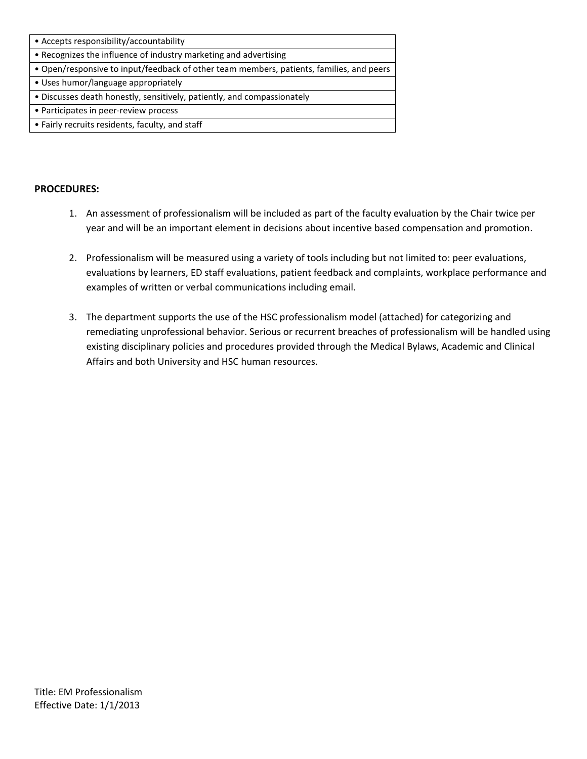### **PROCEDURES:**

- 1. An assessment of professionalism will be included as part of the faculty evaluation by the Chair twice per year and will be an important element in decisions about incentive based compensation and promotion.
- 2. Professionalism will be measured using a variety of tools including but not limited to: peer evaluations, evaluations by learners, ED staff evaluations, patient feedback and complaints, workplace performance and examples of written or verbal communications including email.
- 3. The department supports the use of the HSC professionalism model (attached) for categorizing and remediating unprofessional behavior. Serious or recurrent breaches of professionalism will be handled using existing disciplinary policies and procedures provided through the Medical Bylaws, Academic and Clinical Affairs and both University and HSC human resources.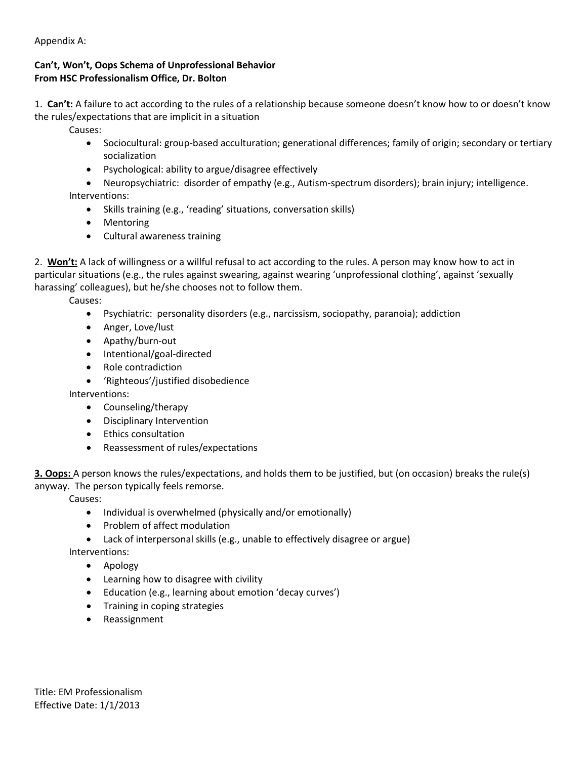Appendix A:

# **Can't, Won't, Oops Schema of Unprofessional Behavior From HSC Professionalism Office, Dr. Bolton**

1. **Can't:** A failure to act according to the rules of a relationship because someone doesn't know how to or doesn't know the rules/expectations that are implicit in a situation

Causes:

- Sociocultural: group-based acculturation; generational differences; family of origin; secondary or tertiary socialization
- Psychological: ability to argue/disagree effectively

• Neuropsychiatric: disorder of empathy (e.g., Autism-spectrum disorders); brain injury; intelligence. Interventions:

- Skills training (e.g., 'reading' situations, conversation skills)
- Mentoring
- Cultural awareness training

2. **Won't:** A lack of willingness or a willful refusal to act according to the rules. A person may know how to act in particular situations (e.g., the rules against swearing, against wearing 'unprofessional clothing', against 'sexually harassing' colleagues), but he/she chooses not to follow them.

Causes:

- Psychiatric: personality disorders (e.g., narcissism, sociopathy, paranoia); addiction
- Anger, Love/lust
- Apathy/burn-out
- Intentional/goal-directed
- Role contradiction
- 'Righteous'/justified disobedience

Interventions:

- Counseling/therapy
- Disciplinary Intervention
- Ethics consultation
- Reassessment of rules/expectations

**3. Oops:** A person knows the rules/expectations, and holds them to be justified, but (on occasion) breaks the rule(s) anyway. The person typically feels remorse.

Causes:

- Individual is overwhelmed (physically and/or emotionally)
- Problem of affect modulation
- Lack of interpersonal skills (e.g., unable to effectively disagree or argue)

Interventions:

- Apology
- Learning how to disagree with civility
- Education (e.g., learning about emotion 'decay curves')
- Training in coping strategies
- Reassignment